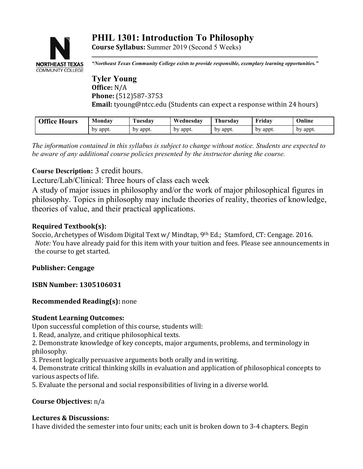## **PHIL 1301: Introduction To Philosophy Course Syllabus:** Summer 2019 (Second 5 Weeks)



*"Northeast Texas Community College exists to provide responsible, exemplary learning opportunities."*

**Tyler Young Office:** N/A **Phone:** (512)587-3753 **Email:** tyoung@ntcc.edu (Students can expect a response within 24 hours)

| <b>Office Hours</b> | Monday   | <b>Tuesday</b> | Wednesday | <b>Thursdav</b> | Fridav   | Online   |
|---------------------|----------|----------------|-----------|-----------------|----------|----------|
|                     | by appt. | by appt.       | by appt.  | by appt.        | by appt. | by appt. |
|                     |          |                |           |                 |          |          |

*The information contained in this syllabus is subject to change without notice. Students are expected to be aware of any additional course policies presented by the instructor during the course.*

# **Course Description:** 3 credit hours.

Lecture/Lab/Clinical: Three hours of class each week

A study of major issues in philosophy and/or the work of major philosophical figures in philosophy. Topics in philosophy may include theories of reality, theories of knowledge, theories of value, and their practical applications.

### **Required Textbook(s):**

Soccio, Archetypes of Wisdom Digital Text w/ Mindtap, 9th Ed.; Stamford, CT: Cengage. 2016. *Note:* You have already paid for this item with your tuition and fees. Please see announcements in the course to get started.

### **Publisher: Cengage**

**ISBN Number: 1305106031**

### **Recommended Reading(s):** none

### **Student Learning Outcomes:**

Upon successful completion of this course, students will:

1. Read, analyze, and critique philosophical texts.

2. Demonstrate knowledge of key concepts, major arguments, problems, and terminology in philosophy.

3. Present logically persuasive arguments both orally and in writing.

4. Demonstrate critical thinking skills in evaluation and application of philosophical concepts to various aspects of life.

5. Evaluate the personal and social responsibilities of living in a diverse world.

### **Course Objectives:** n/a

### **Lectures & Discussions:**

I have divided the semester into four units; each unit is broken down to 3-4 chapters. Begin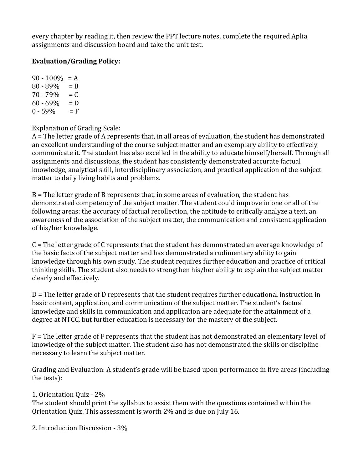every chapter by reading it, then review the PPT lecture notes, complete the required Aplia assignments and discussion board and take the unit test.

### **Evaluation/Grading Policy:**

 $90 - 100\% = A$  $80 - 89\% = B$  $70 - 79\% = C$  $60 - 69\% = D$  $0 - 59\% = F$ 

Explanation of Grading Scale:

A = The letter grade of A represents that, in all areas of evaluation, the student has demonstrated an excellent understanding of the course subject matter and an exemplary ability to effectively communicate it. The student has also excelled in the ability to educate himself/herself. Through all assignments and discussions, the student has consistently demonstrated accurate factual knowledge, analytical skill, interdisciplinary association, and practical application of the subject matter to daily living habits and problems.

B = The letter grade of B represents that, in some areas of evaluation, the student has demonstrated competency of the subject matter. The student could improve in one or all of the following areas: the accuracy of factual recollection, the aptitude to critically analyze a text, an awareness of the association of the subject matter, the communication and consistent application of his/her knowledge.

C = The letter grade of C represents that the student has demonstrated an average knowledge of the basic facts of the subject matter and has demonstrated a rudimentary ability to gain knowledge through his own study. The student requires further education and practice of critical thinking skills. The student also needs to strengthen his/her ability to explain the subject matter clearly and effectively.

D = The letter grade of D represents that the student requires further educational instruction in basic content, application, and communication of the subject matter. The student's factual knowledge and skills in communication and application are adequate for the attainment of a degree at NTCC, but further education is necessary for the mastery of the subject.

F = The letter grade of F represents that the student has not demonstrated an elementary level of knowledge of the subject matter. The student also has not demonstrated the skills or discipline necessary to learn the subject matter.

Grading and Evaluation: A student's grade will be based upon performance in five areas (including the tests):

1. Orientation Quiz - 2%

The student should print the syllabus to assist them with the questions contained within the Orientation Quiz. This assessment is worth 2% and is due on July 16.

2. Introduction Discussion - 3%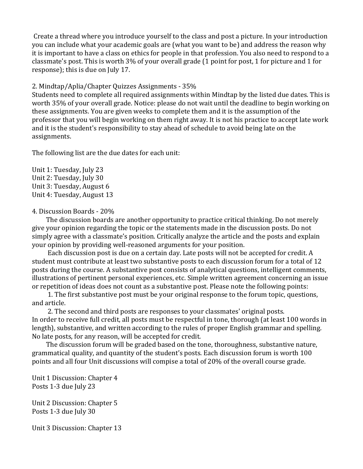Create a thread where you introduce yourself to the class and post a picture. In your introduction you can include what your academic goals are (what you want to be) and address the reason why it is important to have a class on ethics for people in that profession. You also need to respond to a classmate's post. This is worth 3% of your overall grade (1 point for post, 1 for picture and 1 for response); this is due on July 17.

#### 2. Mindtap/Aplia/Chapter Quizzes Assignments - 35%

Students need to complete all required assignments within Mindtap by the listed due dates. This is worth 35% of your overall grade. Notice: please do not wait until the deadline to begin working on these assignments. You are given weeks to complete them and it is the assumption of the professor that you will begin working on them right away. It is not his practice to accept late work and it is the student's responsibility to stay ahead of schedule to avoid being late on the assignments.

The following list are the due dates for each unit:

Unit 1: Tuesday, July 23 Unit 2: Tuesday, July 30 Unit 3: Tuesday, August 6 Unit 4: Tuesday, August 13

#### 4. Discussion Boards - 20%

 The discussion boards are another opportunity to practice critical thinking. Do not merely give your opinion regarding the topic or the statements made in the discussion posts. Do not simply agree with a classmate's position. Critically analyze the article and the posts and explain your opinion by providing well-reasoned arguments for your position.

 Each discussion post is due on a certain day. Late posts will not be accepted for credit. A student must contribute at least two substantive posts to each discussion forum for a total of 12 posts during the course. A substantive post consists of analytical questions, intelligent comments, illustrations of pertinent personal experiences, etc. Simple written agreement concerning an issue or repetition of ideas does not count as a substantive post. Please note the following points:

 1. The first substantive post must be your original response to the forum topic, questions, and article.

 2. The second and third posts are responses to your classmates' original posts. In order to receive full credit, all posts must be respectful in tone, thorough (at least 100 words in length), substantive, and written according to the rules of proper English grammar and spelling. No late posts, for any reason, will be accepted for credit.

 The discussion forum will be graded based on the tone, thoroughness, substantive nature, grammatical quality, and quantity of the student's posts. Each discussion forum is worth 100 points and all four Unit discussions will compise a total of 20% of the overall course grade.

Unit 1 Discussion: Chapter 4 Posts 1-3 due July 23

Unit 2 Discussion: Chapter 5 Posts 1-3 due July 30

Unit 3 Discussion: Chapter 13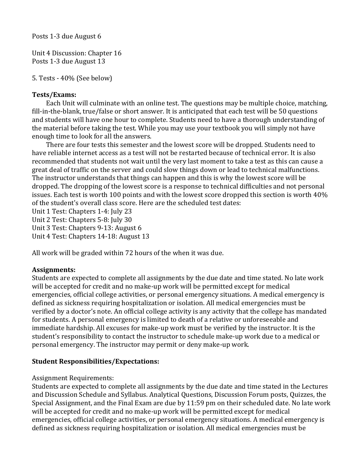Posts 1-3 due August 6

Unit 4 Discussion: Chapter 16 Posts 1-3 due August 13

```
5. Tests - 40% (See below)
```
### **Tests/Exams:**

 Each Unit will culminate with an online test. The questions may be multiple choice, matching, fill-in-the-blank, true/false or short answer. It is anticipated that each test will be 50 questions and students will have one hour to complete. Students need to have a thorough understanding of the material before taking the test. While you may use your textbook you will simply not have enough time to look for all the answers.

 There are four tests this semester and the lowest score will be dropped. Students need to have reliable internet access as a test will not be restarted because of technical error. It is also recommended that students not wait until the very last moment to take a test as this can cause a great deal of traffic on the server and could slow things down or lead to technical malfunctions. The instructor understands that things can happen and this is why the lowest score will be dropped. The dropping of the lowest score is a response to technical difficulties and not personal issues. Each test is worth 100 points and with the lowest score dropped this section is worth 40% of the student's overall class score. Here are the scheduled test dates:

Unit 1 Test: Chapters 1-4: July 23 Unit 2 Test: Chapters 5-8: July 30 Unit 3 Test: Chapters 9-13: August 6 Unit 4 Test: Chapters 14-18: August 13

All work will be graded within 72 hours of the when it was due.

### **Assignments:**

Students are expected to complete all assignments by the due date and time stated. No late work will be accepted for credit and no make-up work will be permitted except for medical emergencies, official college activities, or personal emergency situations. A medical emergency is defined as sickness requiring hospitalization or isolation. All medical emergencies must be verified by a doctor's note. An official college activity is any activity that the college has mandated for students. A personal emergency is limited to death of a relative or unforeseeable and immediate hardship. All excuses for make-up work must be verified by the instructor. It is the student's responsibility to contact the instructor to schedule make-up work due to a medical or personal emergency. The instructor may permit or deny make-up work.

### **Student Responsibilities/Expectations:**

### Assignment Requirements:

Students are expected to complete all assignments by the due date and time stated in the Lectures and Discussion Schedule and Syllabus. Analytical Questions, Discussion Forum posts, Quizzes, the Special Assignment, and the Final Exam are due by 11:59 pm on their scheduled date. No late work will be accepted for credit and no make-up work will be permitted except for medical emergencies, official college activities, or personal emergency situations. A medical emergency is defined as sickness requiring hospitalization or isolation. All medical emergencies must be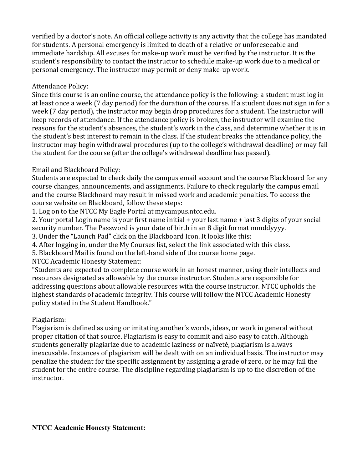verified by a doctor's note. An official college activity is any activity that the college has mandated for students. A personal emergency is limited to death of a relative or unforeseeable and immediate hardship. All excuses for make-up work must be verified by the instructor. It is the student's responsibility to contact the instructor to schedule make-up work due to a medical or personal emergency. The instructor may permit or deny make-up work.

## Attendance Policy:

Since this course is an online course, the attendance policy is the following: a student must log in at least once a week (7 day period) for the duration of the course. If a student does not sign in for a week (7 day period), the instructor may begin drop procedures for a student. The instructor will keep records of attendance. If the attendance policy is broken, the instructor will examine the reasons for the student's absences, the student's work in the class, and determine whether it is in the student's best interest to remain in the class. If the student breaks the attendance policy, the instructor may begin withdrawal procedures (up to the college's withdrawal deadline) or may fail the student for the course (after the college's withdrawal deadline has passed).

### Email and Blackboard Policy:

Students are expected to check daily the campus email account and the course Blackboard for any course changes, announcements, and assignments. Failure to check regularly the campus email and the course Blackboard may result in missed work and academic penalties. To access the course website on Blackboard, follow these steps:

1. Log on to the NTCC My Eagle Portal at mycampus.ntcc.edu.

2. Your portal Login name is your first name initial + your last name + last 3 digits of your social security number. The Password is your date of birth in an 8 digit format mmddyyyy.

3. Under the "Launch Pad" click on the Blackboard Icon. It looks like this:

4. After logging in, under the My Courses list, select the link associated with this class.

5. Blackboard Mail is found on the left-hand side of the course home page.

NTCC Academic Honesty Statement:

"Students are expected to complete course work in an honest manner, using their intellects and resources designated as allowable by the course instructor. Students are responsible for addressing questions about allowable resources with the course instructor. NTCC upholds the highest standards of academic integrity. This course will follow the NTCC Academic Honesty policy stated in the Student Handbook."

# Plagiarism:

Plagiarism is defined as using or imitating another's words, ideas, or work in general without proper citation of that source. Plagiarism is easy to commit and also easy to catch. Although students generally plagiarize due to academic laziness or naïveté, plagiarism is always inexcusable. Instances of plagiarism will be dealt with on an individual basis. The instructor may penalize the student for the specific assignment by assigning a grade of zero, or he may fail the student for the entire course. The discipline regarding plagiarism is up to the discretion of the instructor.